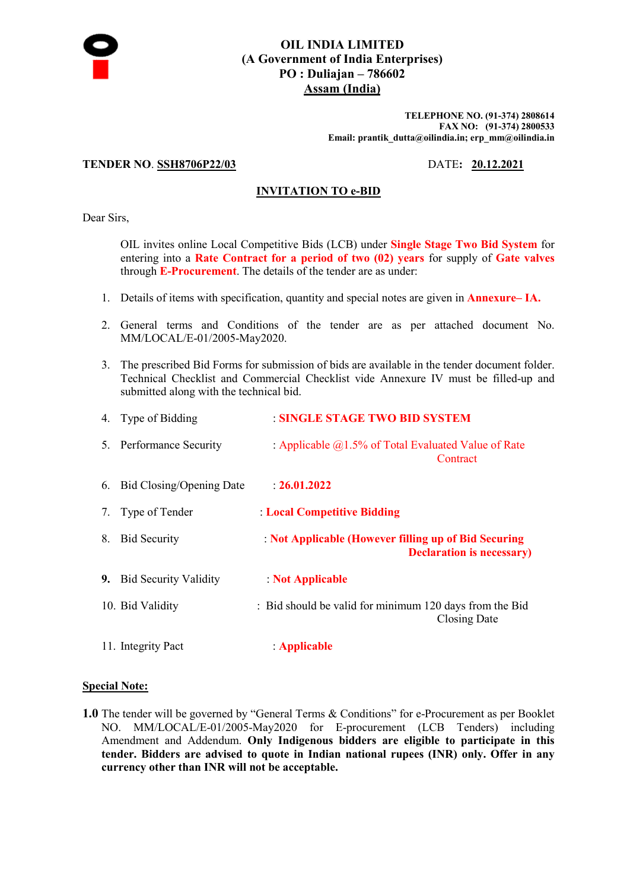

# **OIL INDIA LIMITED (A Government of India Enterprises) PO : Duliajan – 786602 Assam (India)**

**TELEPHONE NO. (91-374) 2808614 FAX NO: (91-374) 2800533 Email: prantik\_dutta@oilindia.in; erp\_mm@oilindia.in** 

# **TENDER NO**. **SSH8706P22/03** DATE**: 20.12.2021**

# **INVITATION TO e-BID**

Dear Sirs,

OIL invites online Local Competitive Bids (LCB) under **Single Stage Two Bid System** for entering into a **Rate Contract for a period of two (02) years** for supply of **Gate valves** through **E-Procurement**. The details of the tender are as under:

- 1. Details of items with specification, quantity and special notes are given in **Annexure– IA.**
- 2. General terms and Conditions of the tender are as per attached document No. MM/LOCAL/E-01/2005-May2020.
- 3. The prescribed Bid Forms for submission of bids are available in the tender document folder. Technical Checklist and Commercial Checklist vide Annexure IV must be filled-up and submitted along with the technical bid.

|    | 4. Type of Bidding       | <b>SINGLE STAGE TWO BID SYSTEM</b>                                                        |
|----|--------------------------|-------------------------------------------------------------------------------------------|
|    | 5. Performance Security  | : Applicable $(a)$ 1.5% of Total Evaluated Value of Rate<br>Contract                      |
| 6. | Bid Closing/Opening Date | $-26.01.2022$                                                                             |
| 7. | Type of Tender           | : Local Competitive Bidding                                                               |
| 8. | <b>Bid Security</b>      | : Not Applicable (However filling up of Bid Securing<br><b>Declaration is necessary</b> ) |
|    | 9. Bid Security Validity | Not Applicable                                                                            |
|    | 10. Bid Validity         | : Bid should be valid for minimum 120 days from the Bid<br>Closing Date                   |
|    | 11. Integrity Pact       | : Applicable                                                                              |

## **Special Note:**

**1.0** The tender will be governed by "General Terms & Conditions" for e-Procurement as per Booklet NO. MM/LOCAL/E-01/2005-May2020 for E-procurement (LCB Tenders) including Amendment and Addendum. **Only Indigenous bidders are eligible to participate in this tender. Bidders are advised to quote in Indian national rupees (INR) only. Offer in any currency other than INR will not be acceptable.**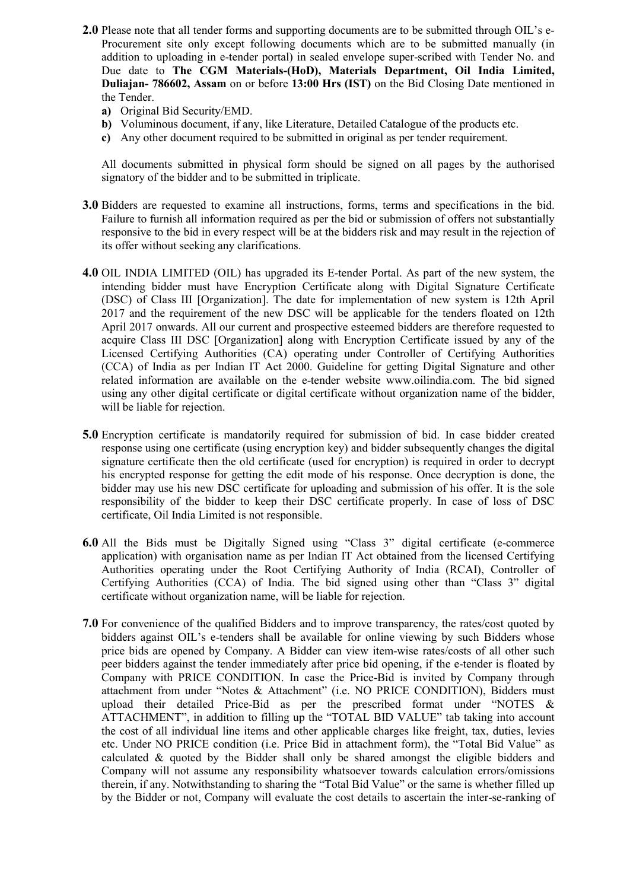- **2.0** Please note that all tender forms and supporting documents are to be submitted through OIL's e-Procurement site only except following documents which are to be submitted manually (in addition to uploading in e-tender portal) in sealed envelope super-scribed with Tender No. and Due date to **The CGM Materials-(HoD), Materials Department, Oil India Limited, Duliajan- 786602, Assam** on or before **13:00 Hrs (IST)** on the Bid Closing Date mentioned in the Tender.
	- **a)** Original Bid Security/EMD.
	- **b)** Voluminous document, if any, like Literature, Detailed Catalogue of the products etc.
	- **c)** Any other document required to be submitted in original as per tender requirement.

All documents submitted in physical form should be signed on all pages by the authorised signatory of the bidder and to be submitted in triplicate.

- **3.0** Bidders are requested to examine all instructions, forms, terms and specifications in the bid. Failure to furnish all information required as per the bid or submission of offers not substantially responsive to the bid in every respect will be at the bidders risk and may result in the rejection of its offer without seeking any clarifications.
- **4.0** OIL INDIA LIMITED (OIL) has upgraded its E-tender Portal. As part of the new system, the intending bidder must have Encryption Certificate along with Digital Signature Certificate (DSC) of Class III [Organization]. The date for implementation of new system is 12th April 2017 and the requirement of the new DSC will be applicable for the tenders floated on 12th April 2017 onwards. All our current and prospective esteemed bidders are therefore requested to acquire Class III DSC [Organization] along with Encryption Certificate issued by any of the Licensed Certifying Authorities (CA) operating under Controller of Certifying Authorities (CCA) of India as per Indian IT Act 2000. Guideline for getting Digital Signature and other related information are available on the e-tender website www.oilindia.com. The bid signed using any other digital certificate or digital certificate without organization name of the bidder, will be liable for rejection.
- **5.0** Encryption certificate is mandatorily required for submission of bid. In case bidder created response using one certificate (using encryption key) and bidder subsequently changes the digital signature certificate then the old certificate (used for encryption) is required in order to decrypt his encrypted response for getting the edit mode of his response. Once decryption is done, the bidder may use his new DSC certificate for uploading and submission of his offer. It is the sole responsibility of the bidder to keep their DSC certificate properly. In case of loss of DSC certificate, Oil India Limited is not responsible.
- **6.0** All the Bids must be Digitally Signed using "Class 3" digital certificate (e-commerce application) with organisation name as per Indian IT Act obtained from the licensed Certifying Authorities operating under the Root Certifying Authority of India (RCAI), Controller of Certifying Authorities (CCA) of India. The bid signed using other than "Class 3" digital certificate without organization name, will be liable for rejection.
- **7.0** For convenience of the qualified Bidders and to improve transparency, the rates/cost quoted by bidders against OIL's e-tenders shall be available for online viewing by such Bidders whose price bids are opened by Company. A Bidder can view item-wise rates/costs of all other such peer bidders against the tender immediately after price bid opening, if the e-tender is floated by Company with PRICE CONDITION. In case the Price-Bid is invited by Company through attachment from under "Notes & Attachment" (i.e. NO PRICE CONDITION), Bidders must upload their detailed Price-Bid as per the prescribed format under "NOTES & ATTACHMENT", in addition to filling up the "TOTAL BID VALUE" tab taking into account the cost of all individual line items and other applicable charges like freight, tax, duties, levies etc. Under NO PRICE condition (i.e. Price Bid in attachment form), the "Total Bid Value" as calculated & quoted by the Bidder shall only be shared amongst the eligible bidders and Company will not assume any responsibility whatsoever towards calculation errors/omissions therein, if any. Notwithstanding to sharing the "Total Bid Value" or the same is whether filled up by the Bidder or not, Company will evaluate the cost details to ascertain the inter-se-ranking of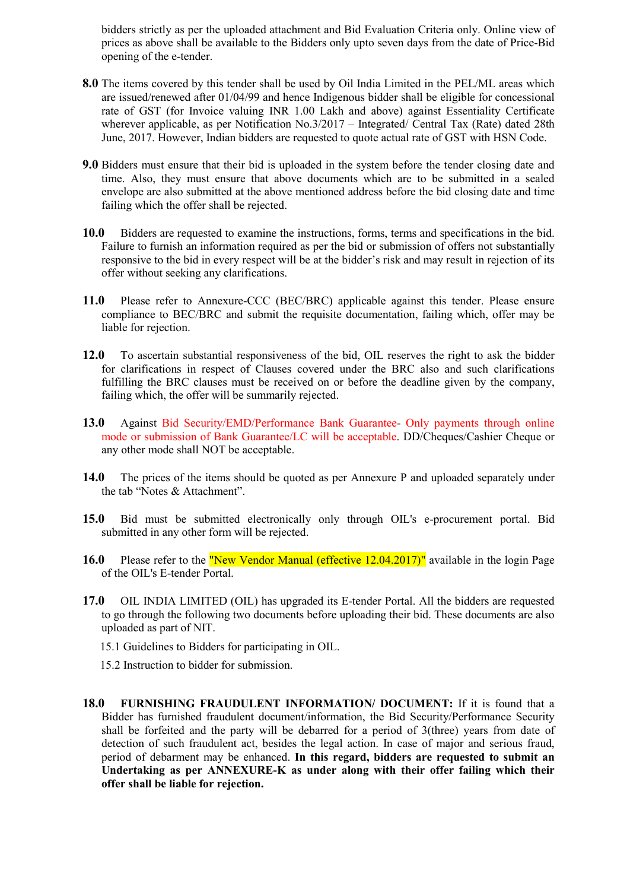bidders strictly as per the uploaded attachment and Bid Evaluation Criteria only. Online view of prices as above shall be available to the Bidders only upto seven days from the date of Price-Bid opening of the e-tender.

- **8.0** The items covered by this tender shall be used by Oil India Limited in the PEL/ML areas which are issued/renewed after 01/04/99 and hence Indigenous bidder shall be eligible for concessional rate of GST (for Invoice valuing INR 1.00 Lakh and above) against Essentiality Certificate wherever applicable, as per Notification No.3/2017 – Integrated/ Central Tax (Rate) dated 28th June, 2017. However, Indian bidders are requested to quote actual rate of GST with HSN Code.
- **9.0** Bidders must ensure that their bid is uploaded in the system before the tender closing date and time. Also, they must ensure that above documents which are to be submitted in a sealed envelope are also submitted at the above mentioned address before the bid closing date and time failing which the offer shall be rejected.
- **10.0** Bidders are requested to examine the instructions, forms, terms and specifications in the bid. Failure to furnish an information required as per the bid or submission of offers not substantially responsive to the bid in every respect will be at the bidder's risk and may result in rejection of its offer without seeking any clarifications.
- **11.0** Please refer to Annexure-CCC (BEC/BRC) applicable against this tender. Please ensure compliance to BEC/BRC and submit the requisite documentation, failing which, offer may be liable for rejection.
- **12.0** To ascertain substantial responsiveness of the bid, OIL reserves the right to ask the bidder for clarifications in respect of Clauses covered under the BRC also and such clarifications fulfilling the BRC clauses must be received on or before the deadline given by the company, failing which, the offer will be summarily rejected.
- **13.0** Against Bid Security/EMD/Performance Bank Guarantee- Only payments through online mode or submission of Bank Guarantee/LC will be acceptable. DD/Cheques/Cashier Cheque or any other mode shall NOT be acceptable.
- **14.0** The prices of the items should be quoted as per Annexure P and uploaded separately under the tab "Notes & Attachment".
- **15.0** Bid must be submitted electronically only through OIL's e-procurement portal. Bid submitted in any other form will be rejected.
- **16.0** Please refer to the **"New Vendor Manual (effective 12.04.2017)"** available in the login Page of the OIL's E-tender Portal.
- **17.0** OIL INDIA LIMITED (OIL) has upgraded its E-tender Portal. All the bidders are requested to go through the following two documents before uploading their bid. These documents are also uploaded as part of NIT.
	- 15.1 Guidelines to Bidders for participating in OIL.

15.2 Instruction to bidder for submission.

**18.0 FURNISHING FRAUDULENT INFORMATION/ DOCUMENT:** If it is found that a Bidder has furnished fraudulent document/information, the Bid Security/Performance Security shall be forfeited and the party will be debarred for a period of 3(three) years from date of detection of such fraudulent act, besides the legal action. In case of major and serious fraud, period of debarment may be enhanced. **In this regard, bidders are requested to submit an Undertaking as per ANNEXURE-K as under along with their offer failing which their offer shall be liable for rejection.**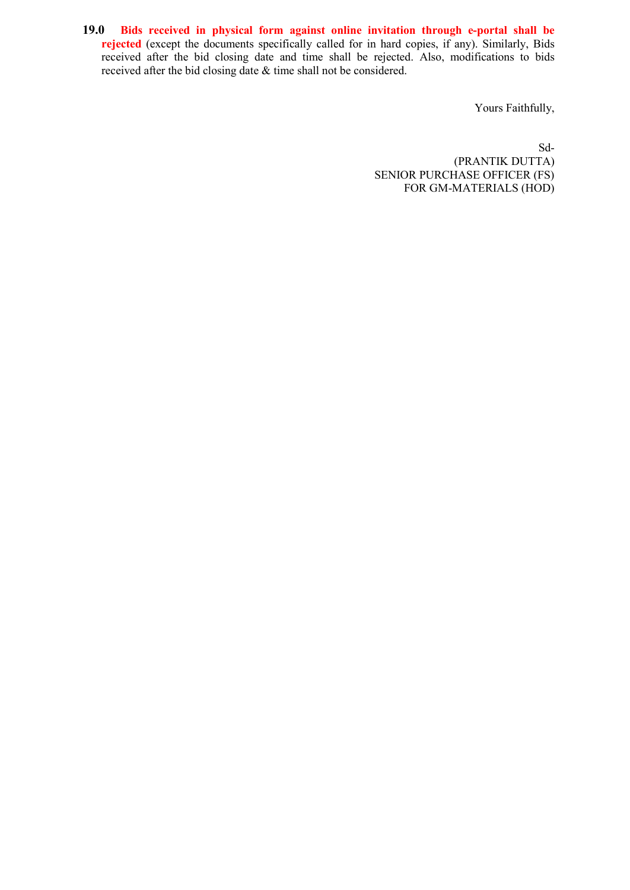**19.0 Bids received in physical form against online invitation through e-portal shall be rejected** (except the documents specifically called for in hard copies, if any). Similarly, Bids received after the bid closing date and time shall be rejected. Also, modifications to bids received after the bid closing date & time shall not be considered.

Yours Faithfully,

 Sd- (PRANTIK DUTTA) SENIOR PURCHASE OFFICER (FS) FOR GM-MATERIALS (HOD)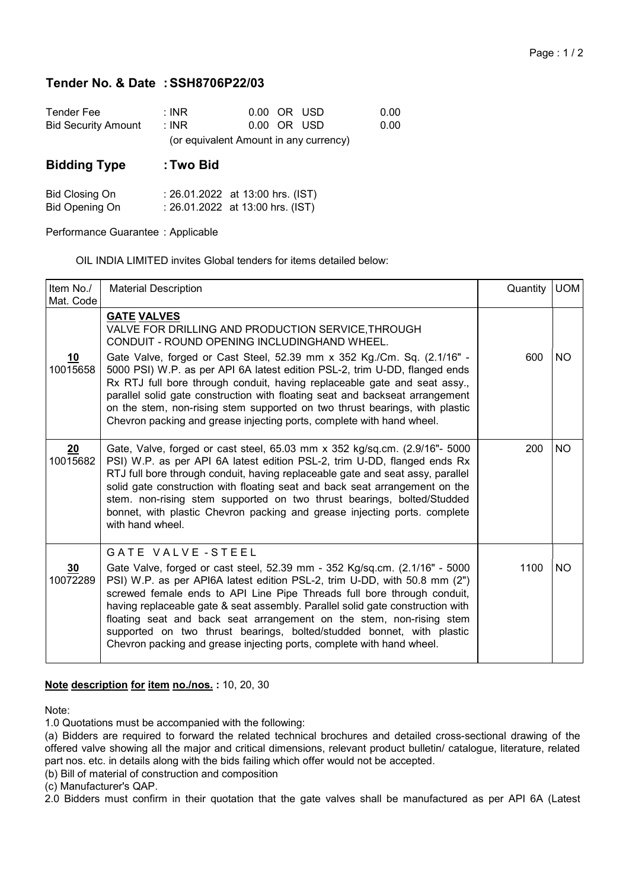### Page : 1 / 2

# Tender No. & Date : SSH8706P22/03

| Tender Fee                 | : INR |                                        | 0.00 OR USD | 0.00 |
|----------------------------|-------|----------------------------------------|-------------|------|
| <b>Bid Security Amount</b> | ∶INR. |                                        | 0.00 OR USD | 0.00 |
|                            |       | (or equivalent Amount in any currency) |             |      |

# Bidding Type : Two Bid

| <b>Bid Closing On</b> | : 26.01.2022 at 13:00 hrs. (IST) |
|-----------------------|----------------------------------|
| <b>Bid Opening On</b> | : 26.01.2022 at 13:00 hrs. (IST) |

Performance Guarantee : Applicable

OIL INDIA LIMITED invites Global tenders for items detailed below:

| Item No./<br>Mat. Code | <b>Material Description</b>                                                                                                                                                                                                                                                                                                                                                                                                                                                                                                                                                                            | Quantity | <b>UOM</b> |
|------------------------|--------------------------------------------------------------------------------------------------------------------------------------------------------------------------------------------------------------------------------------------------------------------------------------------------------------------------------------------------------------------------------------------------------------------------------------------------------------------------------------------------------------------------------------------------------------------------------------------------------|----------|------------|
| 10<br>10015658         | <b>GATE VALVES</b><br>VALVE FOR DRILLING AND PRODUCTION SERVICE, THROUGH<br>CONDUIT - ROUND OPENING INCLUDINGHAND WHEEL.<br>Gate Valve, forged or Cast Steel, 52.39 mm x 352 Kg./Cm. Sq. (2.1/16" -<br>5000 PSI) W.P. as per API 6A latest edition PSL-2, trim U-DD, flanged ends<br>Rx RTJ full bore through conduit, having replaceable gate and seat assy.,<br>parallel solid gate construction with floating seat and backseat arrangement<br>on the stem, non-rising stem supported on two thrust bearings, with plastic<br>Chevron packing and grease injecting ports, complete with hand wheel. | 600      | <b>NO</b>  |
| 20<br>10015682         | Gate, Valve, forged or cast steel, 65.03 mm x 352 kg/sq.cm. (2.9/16"- 5000<br>PSI) W.P. as per API 6A latest edition PSL-2, trim U-DD, flanged ends Rx<br>RTJ full bore through conduit, having replaceable gate and seat assy, parallel<br>solid gate construction with floating seat and back seat arrangement on the<br>stem. non-rising stem supported on two thrust bearings, bolted/Studded<br>bonnet, with plastic Chevron packing and grease injecting ports. complete<br>with hand wheel.                                                                                                     | 200      | <b>NO</b>  |
| 30<br>10072289         | GATE VALVE-STEEL<br>Gate Valve, forged or cast steel, 52.39 mm - 352 Kg/sq.cm. (2.1/16" - 5000<br>PSI) W.P. as per API6A latest edition PSL-2, trim U-DD, with 50.8 mm (2")<br>screwed female ends to API Line Pipe Threads full bore through conduit,<br>having replaceable gate & seat assembly. Parallel solid gate construction with<br>floating seat and back seat arrangement on the stem, non-rising stem<br>supported on two thrust bearings, bolted/studded bonnet, with plastic<br>Chevron packing and grease injecting ports, complete with hand wheel.                                     | 1100     | NO.        |

# Note description for item no./nos.: 10, 20, 30

Note:

1.0 Quotations must be accompanied with the following:

(a) Bidders are required to forward the related technical brochures and detailed cross-sectional drawing of the offered valve showing all the major and critical dimensions, relevant product bulletin/ catalogue, literature, related part nos. etc. in details along with the bids failing which offer would not be accepted.

(b) Bill of material of construction and composition

(c) Manufacturer's QAP.

2.0 Bidders must confirm in their quotation that the gate valves shall be manufactured as per API 6A (Latest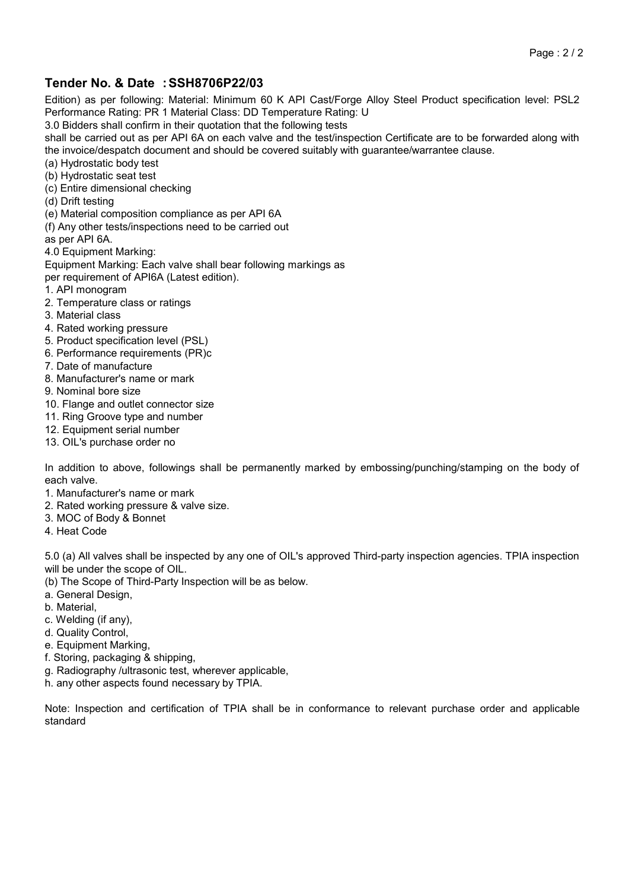# Tender No. & Date : SSH8706P22/03

Edition) as per following: Material: Minimum 60 K API Cast/Forge Alloy Steel Product specification level: PSL2 Performance Rating: PR 1 Material Class: DD Temperature Rating: U

3.0 Bidders shall confirm in their quotation that the following tests

shall be carried out as per API 6A on each valve and the test/inspection Certificate are to be forwarded along with the invoice/despatch document and should be covered suitably with guarantee/warrantee clause.

(a) Hydrostatic body test

- (b) Hydrostatic seat test
- (c) Entire dimensional checking
- (d) Drift testing
- (e) Material composition compliance as per API 6A
- (f) Any other tests/inspections need to be carried out
- as per API 6A.

4.0 Equipment Marking:

Equipment Marking: Each valve shall bear following markings as

per requirement of API6A (Latest edition).

- 1. API monogram
- 2. Temperature class or ratings
- 3. Material class
- 4. Rated working pressure
- 5. Product specification level (PSL)
- 6. Performance requirements (PR)c
- 7. Date of manufacture
- 8. Manufacturer's name or mark
- 9. Nominal bore size
- 10. Flange and outlet connector size
- 11. Ring Groove type and number
- 12. Equipment serial number
- 13. OIL's purchase order no

In addition to above, followings shall be permanently marked by embossing/punching/stamping on the body of each valve.

- 1. Manufacturer's name or mark
- 2. Rated working pressure & valve size.
- 3. MOC of Body & Bonnet
- 4. Heat Code

5.0 (a) All valves shall be inspected by any one of OIL's approved Third-party inspection agencies. TPIA inspection will be under the scope of OIL.

- (b) The Scope of Third-Party Inspection will be as below.
- a. General Design,
- 
- b. Material,
- c. Welding (if any),
- d. Quality Control,
- e. Equipment Marking,
- f. Storing, packaging & shipping,
- g. Radiography /ultrasonic test, wherever applicable,
- h. any other aspects found necessary by TPIA.

Note: Inspection and certification of TPIA shall be in conformance to relevant purchase order and applicable standard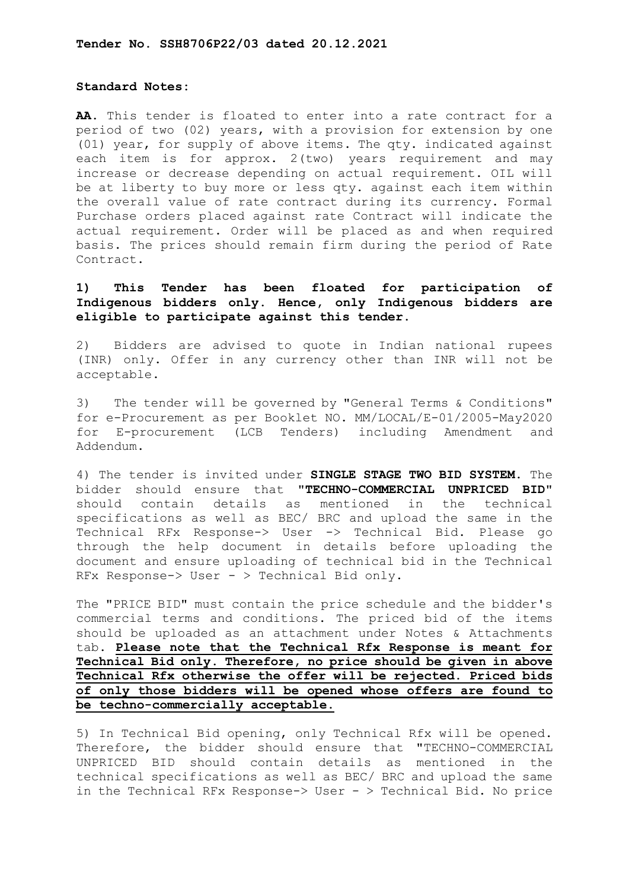### **Standard Notes:**

**AA.** This tender is floated to enter into a rate contract for a period of two (02) years, with a provision for extension by one (01) year, for supply of above items. The qty. indicated against each item is for approx. 2(two) years requirement and may increase or decrease depending on actual requirement. OIL will be at liberty to buy more or less qty. against each item within the overall value of rate contract during its currency. Formal Purchase orders placed against rate Contract will indicate the actual requirement. Order will be placed as and when required basis. The prices should remain firm during the period of Rate Contract.

# **1) This Tender has been floated for participation of Indigenous bidders only. Hence, only Indigenous bidders are eligible to participate against this tender.**

2) Bidders are advised to quote in Indian national rupees (INR) only. Offer in any currency other than INR will not be acceptable.

3) The tender will be governed by "General Terms & Conditions" for e-Procurement as per Booklet NO. MM/LOCAL/E-01/2005-May2020 for E-procurement (LCB Tenders) including Amendment and Addendum.

4) The tender is invited under **SINGLE STAGE TWO BID SYSTEM**. The bidder should ensure that "**TECHNO-COMMERCIAL UNPRICED BID**" should contain details as mentioned in the technical specifications as well as BEC/ BRC and upload the same in the Technical RFx Response-> User -> Technical Bid. Please go through the help document in details before uploading the document and ensure uploading of technical bid in the Technical RFx Response-> User - > Technical Bid only.

The "PRICE BID" must contain the price schedule and the bidder's commercial terms and conditions. The priced bid of the items should be uploaded as an attachment under Notes & Attachments tab. **Please note that the Technical Rfx Response is meant for Technical Bid only. Therefore, no price should be given in above Technical Rfx otherwise the offer will be rejected. Priced bids of only those bidders will be opened whose offers are found to be techno-commercially acceptable.** 

5) In Technical Bid opening, only Technical Rfx will be opened. Therefore, the bidder should ensure that "TECHNO-COMMERCIAL UNPRICED BID should contain details as mentioned in the technical specifications as well as BEC/ BRC and upload the same in the Technical RFx Response- $>$  User -  $>$  Technical Bid. No price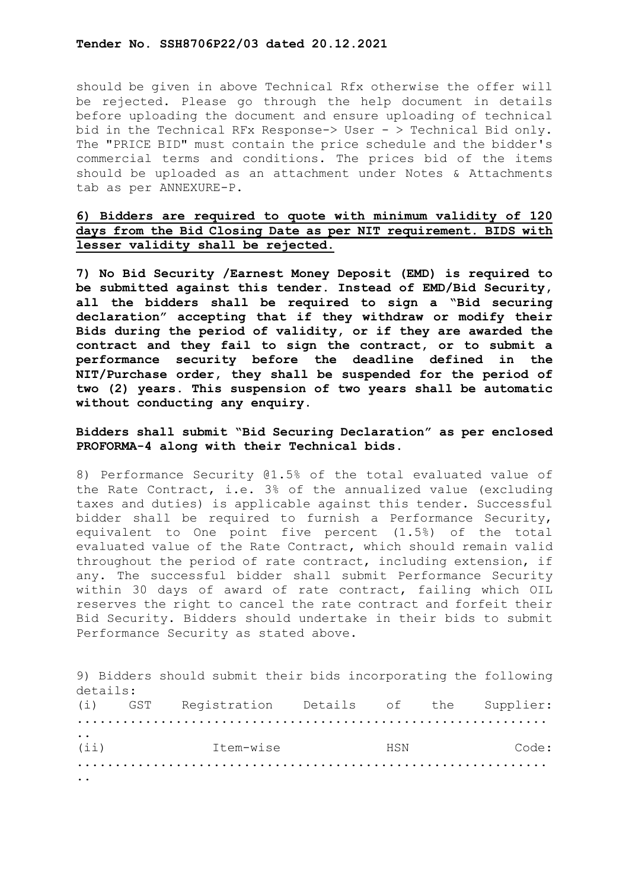should be given in above Technical Rfx otherwise the offer will be rejected. Please go through the help document in details before uploading the document and ensure uploading of technical bid in the Technical RFx Response-> User - > Technical Bid only. The "PRICE BID" must contain the price schedule and the bidder's commercial terms and conditions. The prices bid of the items should be uploaded as an attachment under Notes & Attachments tab as per ANNEXURE-P.

# **6) Bidders are required to quote with minimum validity of 120 days from the Bid Closing Date as per NIT requirement. BIDS with lesser validity shall be rejected.**

**7) No Bid Security /Earnest Money Deposit (EMD) is required to be submitted against this tender. Instead of EMD/Bid Security, all the bidders shall be required to sign a "Bid securing declaration" accepting that if they withdraw or modify their Bids during the period of validity, or if they are awarded the contract and they fail to sign the contract, or to submit a performance security before the deadline defined in the NIT/Purchase order, they shall be suspended for the period of two (2) years. This suspension of two years shall be automatic without conducting any enquiry.**

# **Bidders shall submit "Bid Securing Declaration" as per enclosed PROFORMA-4 along with their Technical bids.**

8) Performance Security @1.5% of the total evaluated value of the Rate Contract, i.e. 3% of the annualized value (excluding taxes and duties) is applicable against this tender. Successful bidder shall be required to furnish a Performance Security, equivalent to One point five percent (1.5%) of the total evaluated value of the Rate Contract, which should remain valid throughout the period of rate contract, including extension, if any. The successful bidder shall submit Performance Security within 30 days of award of rate contract, failing which OIL reserves the right to cancel the rate contract and forfeit their Bid Security. Bidders should undertake in their bids to submit Performance Security as stated above.

|                               |     | 9) Bidders should submit their bids incorporating the following |     |           |
|-------------------------------|-----|-----------------------------------------------------------------|-----|-----------|
| details:                      |     |                                                                 |     |           |
| (i)                           | GST | Registration Details of the                                     |     | Supplier: |
|                               |     |                                                                 |     |           |
| $\ddot{\phantom{0}}$<br>(iii) |     | Ttem-wise                                                       | HSN | Code:     |
|                               |     |                                                                 |     |           |
|                               |     |                                                                 |     |           |
|                               |     |                                                                 |     |           |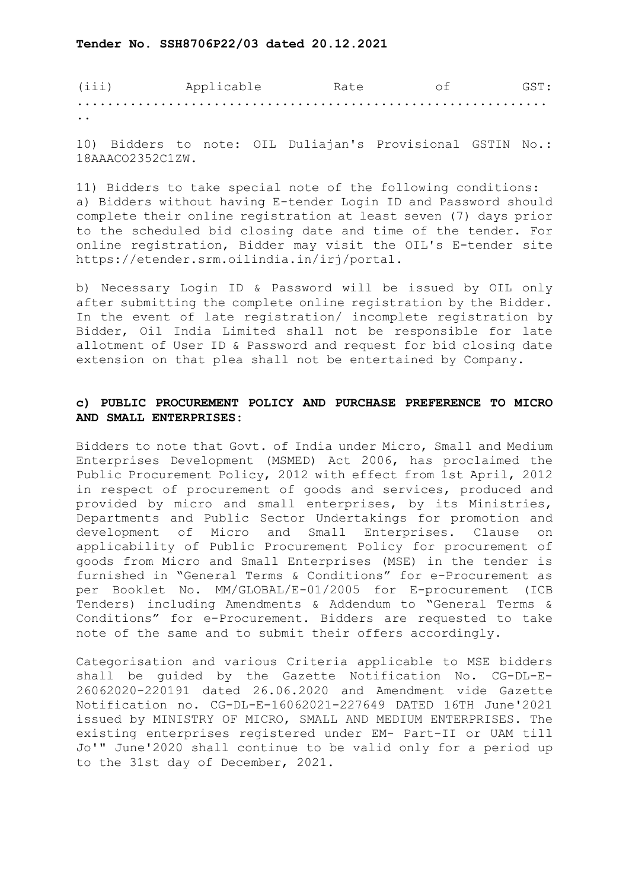| (iii)                | Applicable | Rate | GST : |
|----------------------|------------|------|-------|
|                      |            |      |       |
| $\ddot{\phantom{a}}$ |            |      |       |

10) Bidders to note: OIL Duliajan's Provisional GSTIN No.: 18AAACO2352C1ZW.

11) Bidders to take special note of the following conditions: a) Bidders without having E-tender Login ID and Password should complete their online registration at least seven (7) days prior to the scheduled bid closing date and time of the tender. For online registration, Bidder may visit the OIL's E-tender site https://etender.srm.oilindia.in/irj/portal.

b) Necessary Login ID & Password will be issued by OIL only after submitting the complete online registration by the Bidder. In the event of late registration/ incomplete registration by Bidder, Oil India Limited shall not be responsible for late allotment of User ID & Password and request for bid closing date extension on that plea shall not be entertained by Company.

# **c) PUBLIC PROCUREMENT POLICY AND PURCHASE PREFERENCE TO MICRO AND SMALL ENTERPRISES:**

Bidders to note that Govt. of India under Micro, Small and Medium Enterprises Development (MSMED) Act 2006, has proclaimed the Public Procurement Policy, 2012 with effect from 1st April, 2012 in respect of procurement of goods and services, produced and provided by micro and small enterprises, by its Ministries, Departments and Public Sector Undertakings for promotion and development of Micro and Small Enterprises. Clause on Micro and Small Enterprises. Clause on applicability of Public Procurement Policy for procurement of goods from Micro and Small Enterprises (MSE) in the tender is furnished in "General Terms & Conditions" for e-Procurement as per Booklet No. MM/GLOBAL/E-01/2005 for E-procurement (ICB Tenders) including Amendments & Addendum to "General Terms & Conditions" for e-Procurement. Bidders are requested to take note of the same and to submit their offers accordingly.

Categorisation and various Criteria applicable to MSE bidders shall be guided by the Gazette Notification No. CG-DL-E-26062020-220191 dated 26.06.2020 and Amendment vide Gazette Notification no. CG-DL-E-16062021-227649 DATED 16TH June'2021 issued by MINISTRY OF MICRO, SMALL AND MEDIUM ENTERPRISES. The existing enterprises registered under EM- Part-II or UAM till Jo'" June'2020 shall continue to be valid only for a period up to the 31st day of December, 2021.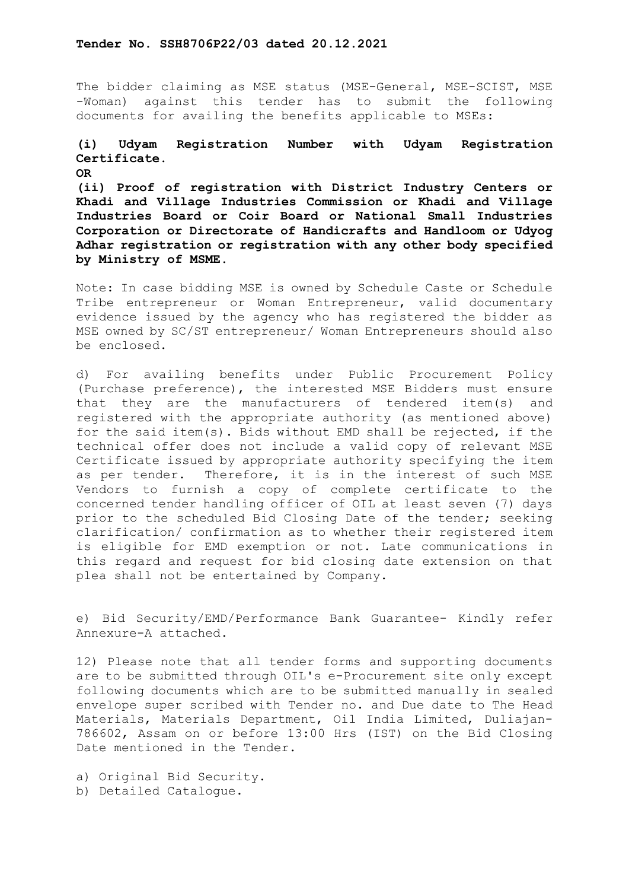The bidder claiming as MSE status (MSE-General, MSE-SCIST, MSE -Woman) against this tender has to submit the following documents for availing the benefits applicable to MSEs:

# **(i) Udyam Registration Number with Udyam Registration Certificate.**

**OR**

**(ii) Proof of registration with District Industry Centers or Khadi and Village Industries Commission or Khadi and Village Industries Board or Coir Board or National Small Industries Corporation or Directorate of Handicrafts and Handloom or Udyog Adhar registration or registration with any other body specified by Ministry of MSME.**

Note: In case bidding MSE is owned by Schedule Caste or Schedule Tribe entrepreneur or Woman Entrepreneur, valid documentary evidence issued by the agency who has registered the bidder as MSE owned by SC/ST entrepreneur/ Woman Entrepreneurs should also be enclosed.

d) For availing benefits under Public Procurement Policy (Purchase preference), the interested MSE Bidders must ensure that they are the manufacturers of tendered item(s) and registered with the appropriate authority (as mentioned above) for the said item(s). Bids without EMD shall be rejected, if the technical offer does not include a valid copy of relevant MSE Certificate issued by appropriate authority specifying the item as per tender. Therefore, it is in the interest of such MSE Vendors to furnish a copy of complete certificate to the concerned tender handling officer of OIL at least seven (7) days prior to the scheduled Bid Closing Date of the tender; seeking clarification/ confirmation as to whether their registered item is eligible for EMD exemption or not. Late communications in this regard and request for bid closing date extension on that plea shall not be entertained by Company.

e) Bid Security/EMD/Performance Bank Guarantee- Kindly refer Annexure-A attached.

12) Please note that all tender forms and supporting documents are to be submitted through OIL's e-Procurement site only except following documents which are to be submitted manually in sealed envelope super scribed with Tender no. and Due date to The Head Materials, Materials Department, Oil India Limited, Duliajan-786602, Assam on or before 13:00 Hrs (IST) on the Bid Closing Date mentioned in the Tender.

a) Original Bid Security. b) Detailed Catalogue.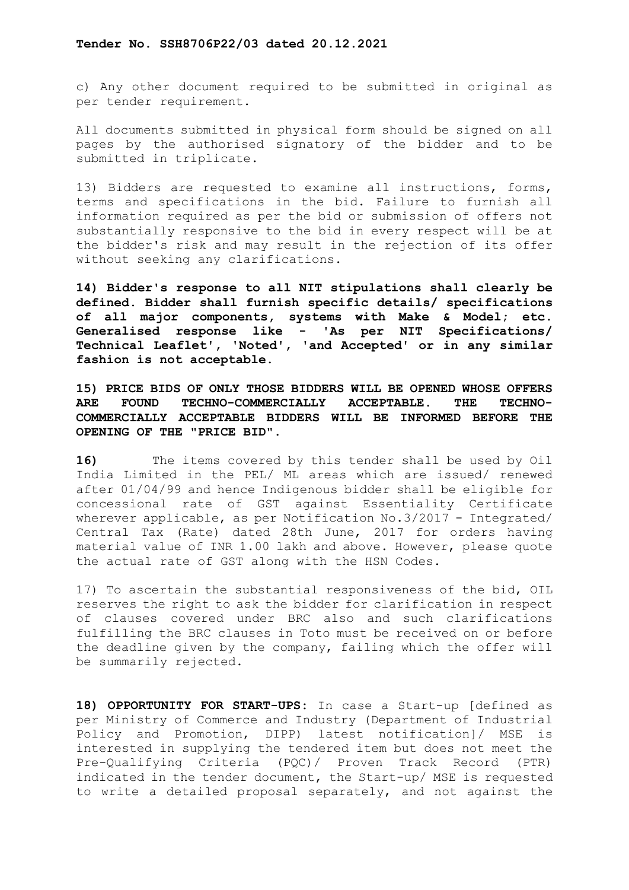c) Any other document required to be submitted in original as per tender requirement.

All documents submitted in physical form should be signed on all pages by the authorised signatory of the bidder and to be submitted in triplicate.

13) Bidders are requested to examine all instructions, forms, terms and specifications in the bid. Failure to furnish all information required as per the bid or submission of offers not substantially responsive to the bid in every respect will be at the bidder's risk and may result in the rejection of its offer without seeking any clarifications.

**14) Bidder's response to all NIT stipulations shall clearly be defined. Bidder shall furnish specific details/ specifications of all major components, systems with Make & Model; etc. Generalised response like - 'As per NIT Specifications/ Technical Leaflet', 'Noted', 'and Accepted' or in any similar fashion is not acceptable.**

**15) PRICE BIDS OF ONLY THOSE BIDDERS WILL BE OPENED WHOSE OFFERS ARE FOUND TECHNO-COMMERCIALLY ACCEPTABLE. THE TECHNO-COMMERCIALLY ACCEPTABLE BIDDERS WILL BE INFORMED BEFORE THE OPENING OF THE "PRICE BID".**

**16)** The items covered by this tender shall be used by Oil India Limited in the PEL/ ML areas which are issued/ renewed after 01/04/99 and hence Indigenous bidder shall be eligible for concessional rate of GST against Essentiality Certificate wherever applicable, as per Notification No. 3/2017 - Integrated/ Central Tax (Rate) dated 28th June, 2017 for orders having material value of INR 1.00 lakh and above. However, please quote the actual rate of GST along with the HSN Codes.

17) To ascertain the substantial responsiveness of the bid, OIL reserves the right to ask the bidder for clarification in respect of clauses covered under BRC also and such clarifications fulfilling the BRC clauses in Toto must be received on or before the deadline given by the company, failing which the offer will be summarily rejected.

**18) OPPORTUNITY FOR START-UPS:** In case a Start-up [defined as per Ministry of Commerce and Industry (Department of Industrial Policy and Promotion, DIPP) latest notification]/ MSE is interested in supplying the tendered item but does not meet the Pre-Qualifying Criteria (PQC)/ Proven Track Record (PTR) indicated in the tender document, the Start-up/ MSE is requested to write a detailed proposal separately, and not against the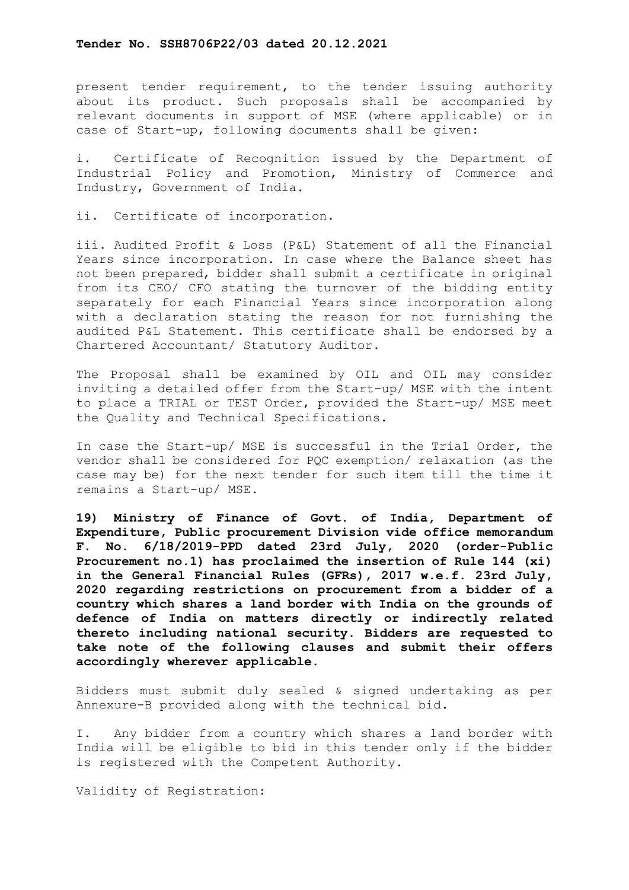present tender requirement, to the tender issuing authority about its product. Such proposals shall be accompanied by relevant documents in support of MSE (where applicable) or in case of Start-up, following documents shall be given:

i. Certificate of Recognition issued by the Department of Industrial Policy and Promotion, Ministry of Commerce and Industry, Government of India.

ii. Certificate of incorporation.

iii. Audited Profit & Loss (P&L) Statement of all the Financial Years since incorporation. In case where the Balance sheet has not been prepared, bidder shall submit a certificate in original from its CEO/ CFO stating the turnover of the bidding entity separately for each Financial Years since incorporation along with a declaration stating the reason for not furnishing the audited P&L Statement. This certificate shall be endorsed by a Chartered Accountant/ Statutory Auditor.

The Proposal shall be examined by OIL and OIL may consider inviting a detailed offer from the Start-up/ MSE with the intent to place a TRIAL or TEST Order, provided the Start-up/ MSE meet the Quality and Technical Specifications.

In case the Start-up/ MSE is successful in the Trial Order, the vendor shall be considered for PQC exemption/ relaxation (as the case may be) for the next tender for such item till the time it remains a Start-up/ MSE.

**19) Ministry of Finance of Govt. of India, Department of Expenditure, Public procurement Division vide office memorandum F. No. 6/18/2019-PPD dated 23rd July, 2020 (order-Public Procurement no.1) has proclaimed the insertion of Rule 144 (xi) in the General Financial Rules (GFRs), 2017 w.e.f. 23rd July, 2020 regarding restrictions on procurement from a bidder of a country which shares a land border with India on the grounds of defence of India on matters directly or indirectly related thereto including national security. Bidders are requested to take note of the following clauses and submit their offers accordingly wherever applicable.**

Bidders must submit duly sealed & signed undertaking as per Annexure-B provided along with the technical bid.

I. Any bidder from a country which shares a land border with India will be eligible to bid in this tender only if the bidder is registered with the Competent Authority.

Validity of Registration: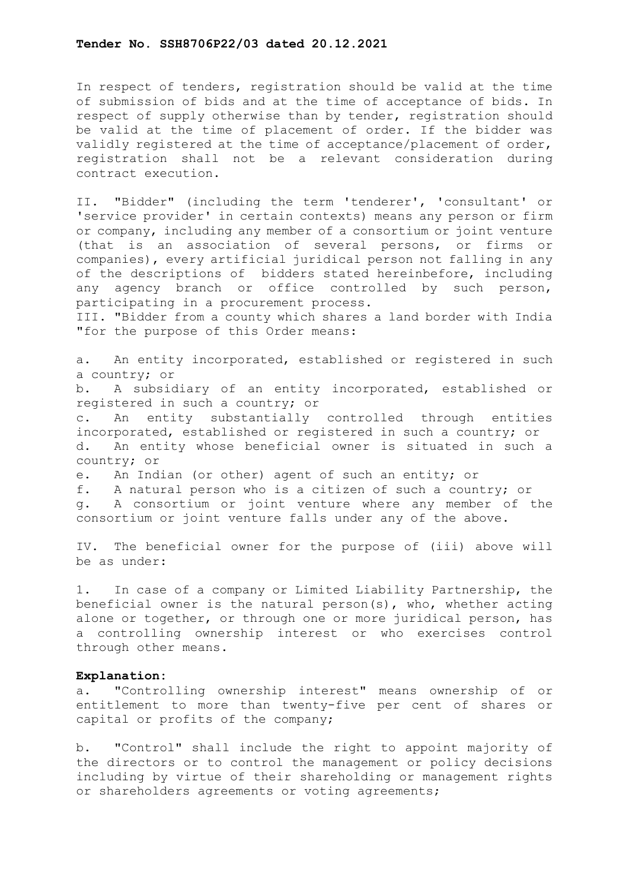In respect of tenders, registration should be valid at the time of submission of bids and at the time of acceptance of bids. In respect of supply otherwise than by tender, registration should be valid at the time of placement of order. If the bidder was validly registered at the time of acceptance/placement of order, registration shall not be a relevant consideration during contract execution.

II. "Bidder" (including the term 'tenderer', 'consultant' or 'service provider' in certain contexts) means any person or firm or company, including any member of a consortium or joint venture (that is an association of several persons, or firms or companies), every artificial juridical person not falling in any of the descriptions of bidders stated hereinbefore, including any agency branch or office controlled by such person, participating in a procurement process.

III. "Bidder from a county which shares a land border with India "for the purpose of this Order means:

a. An entity incorporated, established or registered in such a country; or<br>b. A subside

b. A subsidiary of an entity incorporated, established or registered in such a country; or

c. An entity substantially controlled through entities incorporated, established or registered in such a country; or<br>d. An entity whose beneficial owner is situated in such An entity whose beneficial owner is situated in such a country; or

e. An Indian (or other) agent of such an entity; or

f. A natural person who is a citizen of such a country; or

g. A consortium or joint venture where any member of the consortium or joint venture falls under any of the above.

IV. The beneficial owner for the purpose of (iii) above will be as under:

1. In case of a company or Limited Liability Partnership, the beneficial owner is the natural person(s), who, whether acting alone or together, or through one or more juridical person, has a controlling ownership interest or who exercises control through other means.

#### **Explanation:**

a. "Controlling ownership interest" means ownership of or entitlement to more than twenty-five per cent of shares or capital or profits of the company;

b. "Control" shall include the right to appoint majority of the directors or to control the management or policy decisions including by virtue of their shareholding or management rights or shareholders agreements or voting agreements;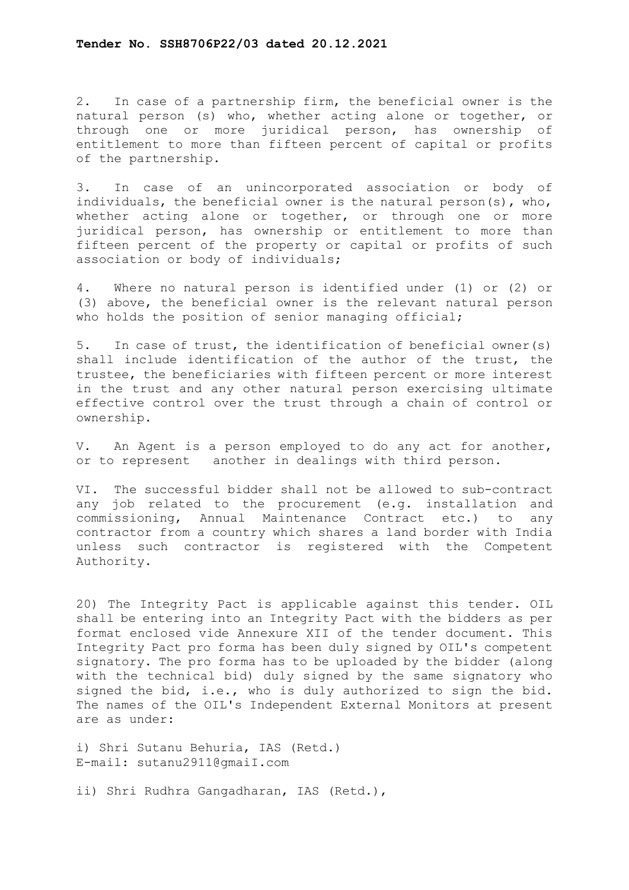2. In case of a partnership firm, the beneficial owner is the natural person (s) who, whether acting alone or together, or through one or more juridical person, has ownership of entitlement to more than fifteen percent of capital or profits of the partnership.

3. In case of an unincorporated association or body of individuals, the beneficial owner is the natural person(s), who, whether acting alone or together, or through one or more juridical person, has ownership or entitlement to more than fifteen percent of the property or capital or profits of such association or body of individuals;

4. Where no natural person is identified under (1) or (2) or (3) above, the beneficial owner is the relevant natural person who holds the position of senior managing official;

5. In case of trust, the identification of beneficial owner(s) shall include identification of the author of the trust, the trustee, the beneficiaries with fifteen percent or more interest in the trust and any other natural person exercising ultimate effective control over the trust through a chain of control or ownership.

V. An Agent is a person employed to do any act for another, or to represent another in dealings with third person.

VI. The successful bidder shall not be allowed to sub-contract any job related to the procurement (e.g. installation and commissioning, Annual Maintenance Contract etc.) to any contractor from a country which shares a land border with India unless such contractor is registered with the Competent Authority.

20) The Integrity Pact is applicable against this tender. OIL shall be entering into an Integrity Pact with the bidders as per format enclosed vide Annexure XII of the tender document. This Integrity Pact pro forma has been duly signed by OIL's competent signatory. The pro forma has to be uploaded by the bidder (along with the technical bid) duly signed by the same signatory who signed the bid, i.e., who is duly authorized to sign the bid. The names of the OIL's Independent External Monitors at present are as under:

i) Shri Sutanu Behuria, IAS (Retd.) E-mail: sutanu2911@gmaiI.com

ii) Shri Rudhra Gangadharan, IAS (Retd.),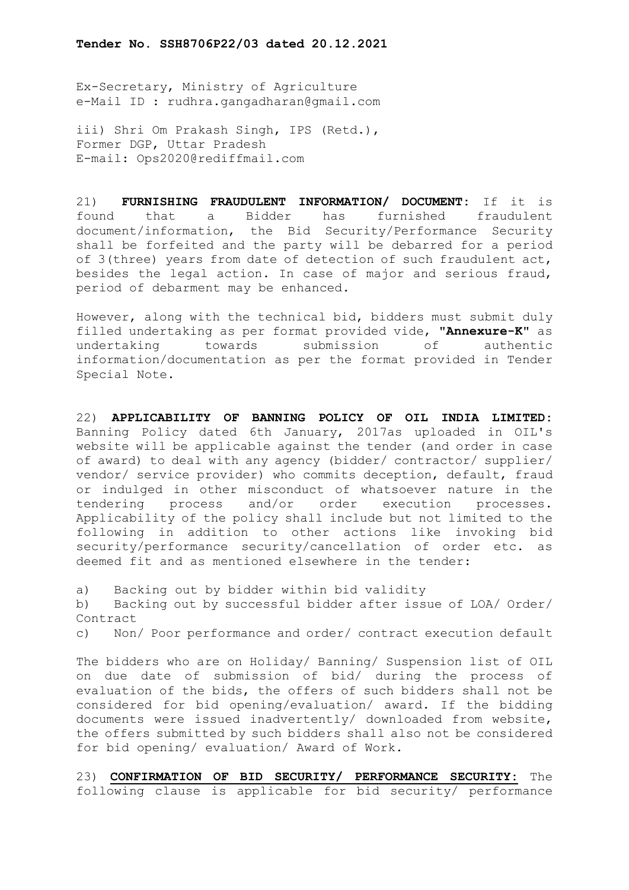Ex-Secretary, Ministry of Agriculture e-Mail ID : rudhra.gangadharan@gmail.com

iii) Shri Om Prakash Singh, IPS (Retd.), Former DGP, Uttar Pradesh E-mail: Ops2020@rediffmail.com

21) **FURNISHING FRAUDULENT INFORMATION/ DOCUMENT:** If it is found that a Bidder has furnished fraudulent document/information, the Bid Security/Performance Security shall be forfeited and the party will be debarred for a period of 3(three) years from date of detection of such fraudulent act, besides the legal action. In case of major and serious fraud, period of debarment may be enhanced.

However, along with the technical bid, bidders must submit duly filled undertaking as per format provided vide, "**Annexure-K**" as submission of information/documentation as per the format provided in Tender Special Note.

22) **APPLICABILITY OF BANNING POLICY OF OIL INDIA LIMITED:** Banning Policy dated 6th January, 2017as uploaded in OIL's website will be applicable against the tender (and order in case of award) to deal with any agency (bidder/ contractor/ supplier/ vendor/ service provider) who commits deception, default, fraud or indulged in other misconduct of whatsoever nature in the<br>tendering process and/or order execution processes. process and/or order execution Applicability of the policy shall include but not limited to the following in addition to other actions like invoking bid security/performance security/cancellation of order etc. as deemed fit and as mentioned elsewhere in the tender:

a) Backing out by bidder within bid validity

b) Backing out by successful bidder after issue of LOA/ Order/ Contract

c) Non/ Poor performance and order/ contract execution default

The bidders who are on Holiday/ Banning/ Suspension list of OIL on due date of submission of bid/ during the process of evaluation of the bids, the offers of such bidders shall not be considered for bid opening/evaluation/ award. If the bidding documents were issued inadvertently/ downloaded from website, the offers submitted by such bidders shall also not be considered for bid opening/ evaluation/ Award of Work.

23) **CONFIRMATION OF BID SECURITY/ PERFORMANCE SECURITY:** The following clause is applicable for bid security/ performance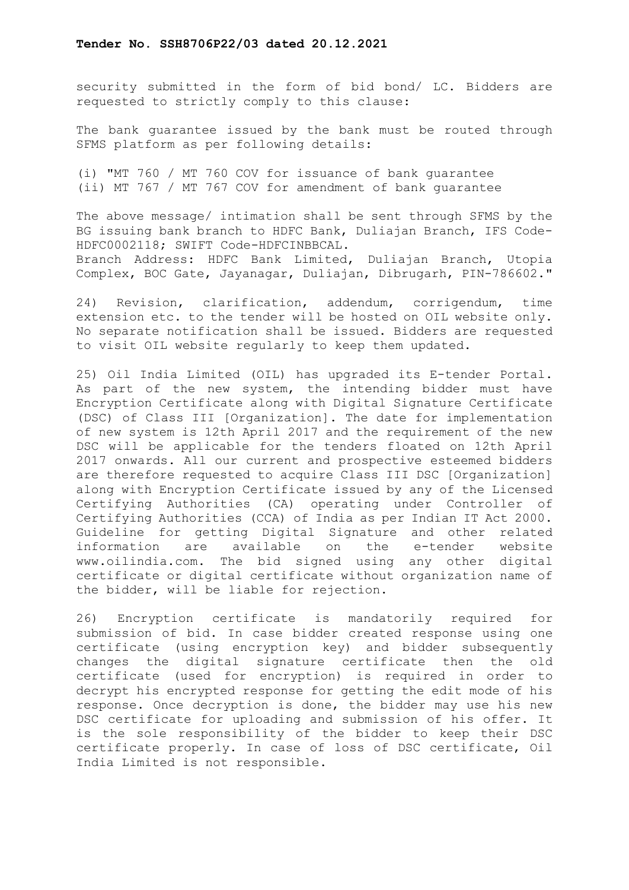security submitted in the form of bid bond/ LC. Bidders are requested to strictly comply to this clause:

The bank guarantee issued by the bank must be routed through SFMS platform as per following details:

(i) "MT 760 / MT 760 COV for issuance of bank guarantee (ii) MT 767 / MT 767 COV for amendment of bank guarantee

The above message/ intimation shall be sent through SFMS by the BG issuing bank branch to HDFC Bank, Duliajan Branch, IFS Code-HDFC0002118; SWIFT Code-HDFCINBBCAL. Branch Address: HDFC Bank Limited, Duliajan Branch, Utopia Complex, BOC Gate, Jayanagar, Duliajan, Dibrugarh, PIN-786602."

24) Revision, clarification, addendum, corrigendum, time extension etc. to the tender will be hosted on OIL website only. No separate notification shall be issued. Bidders are requested to visit OIL website regularly to keep them updated.

25) Oil India Limited (OIL) has upgraded its E-tender Portal. As part of the new system, the intending bidder must have Encryption Certificate along with Digital Signature Certificate (DSC) of Class III [Organization]. The date for implementation of new system is 12th April 2017 and the requirement of the new DSC will be applicable for the tenders floated on 12th April 2017 onwards. All our current and prospective esteemed bidders are therefore requested to acquire Class III DSC [Organization] along with Encryption Certificate issued by any of the Licensed Certifying Authorities (CA) operating under Controller of Certifying Authorities (CCA) of India as per Indian IT Act 2000. Guideline for getting Digital Signature and other related<br>information are available on the e-tender website on the e-tender www.oilindia.com. The bid signed using any other digital certificate or digital certificate without organization name of the bidder, will be liable for rejection.

26) Encryption certificate is mandatorily required for submission of bid. In case bidder created response using one certificate (using encryption key) and bidder subsequently changes the digital signature certificate then the old certificate (used for encryption) is required in order to decrypt his encrypted response for getting the edit mode of his response. Once decryption is done, the bidder may use his new DSC certificate for uploading and submission of his offer. It is the sole responsibility of the bidder to keep their DSC certificate properly. In case of loss of DSC certificate, Oil India Limited is not responsible.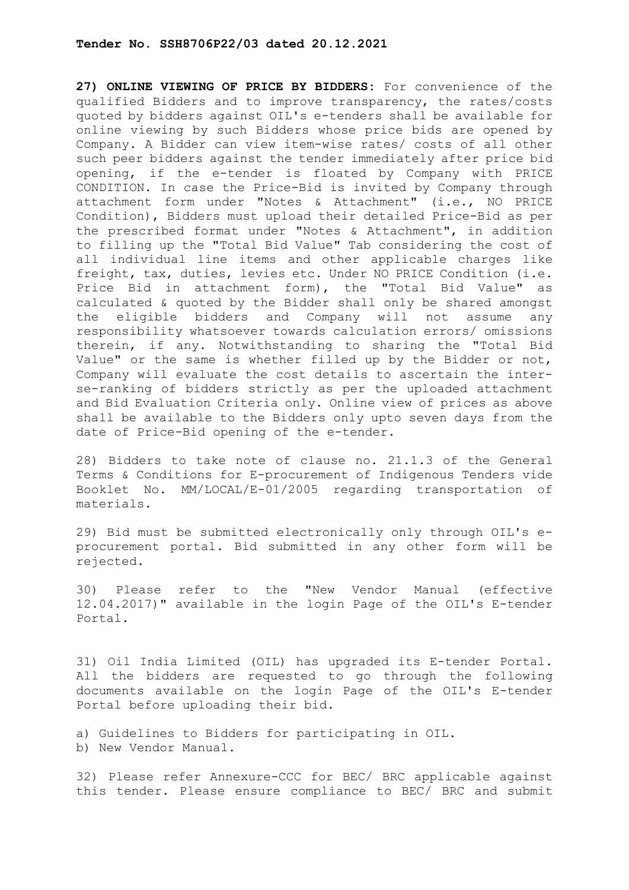**27) ONLINE VIEWING OF PRICE BY BIDDERS:** For convenience of the qualified Bidders and to improve transparency, the rates/costs quoted by bidders against OIL's e-tenders shall be available for online viewing by such Bidders whose price bids are opened by Company. A Bidder can view item-wise rates/ costs of all other such peer bidders against the tender immediately after price bid opening, if the e-tender is floated by Company with PRICE CONDITION. In case the Price-Bid is invited by Company through attachment form under "Notes & Attachment" (i.e., NO PRICE Condition), Bidders must upload their detailed Price-Bid as per the prescribed format under "Notes & Attachment", in addition to filling up the "Total Bid Value" Tab considering the cost of all individual line items and other applicable charges like freight, tax, duties, levies etc. Under NO PRICE Condition (i.e. Price Bid in attachment form), the "Total Bid Value" as calculated & quoted by the Bidder shall only be shared amongst the eligible bidders and Company will not assume any responsibility whatsoever towards calculation errors/ omissions therein, if any. Notwithstanding to sharing the "Total Bid Value" or the same is whether filled up by the Bidder or not, Company will evaluate the cost details to ascertain the interse-ranking of bidders strictly as per the uploaded attachment and Bid Evaluation Criteria only. Online view of prices as above shall be available to the Bidders only upto seven days from the date of Price-Bid opening of the e-tender.

28) Bidders to take note of clause no. 21.1.3 of the General Terms & Conditions for E-procurement of Indigenous Tenders vide Booklet No. MM/LOCAL/E-01/2005 regarding transportation of materials.

29) Bid must be submitted electronically only through OIL's eprocurement portal. Bid submitted in any other form will be rejected.

30) Please refer to the "New Vendor Manual (effective 12.04.2017)" available in the login Page of the OIL's E-tender Portal.

31) Oil India Limited (OIL) has upgraded its E-tender Portal. All the bidders are requested to go through the following documents available on the login Page of the OIL's E-tender Portal before uploading their bid.

a) Guidelines to Bidders for participating in OIL. b) New Vendor Manual.

32) Please refer Annexure-CCC for BEC/ BRC applicable against this tender. Please ensure compliance to BEC/ BRC and submit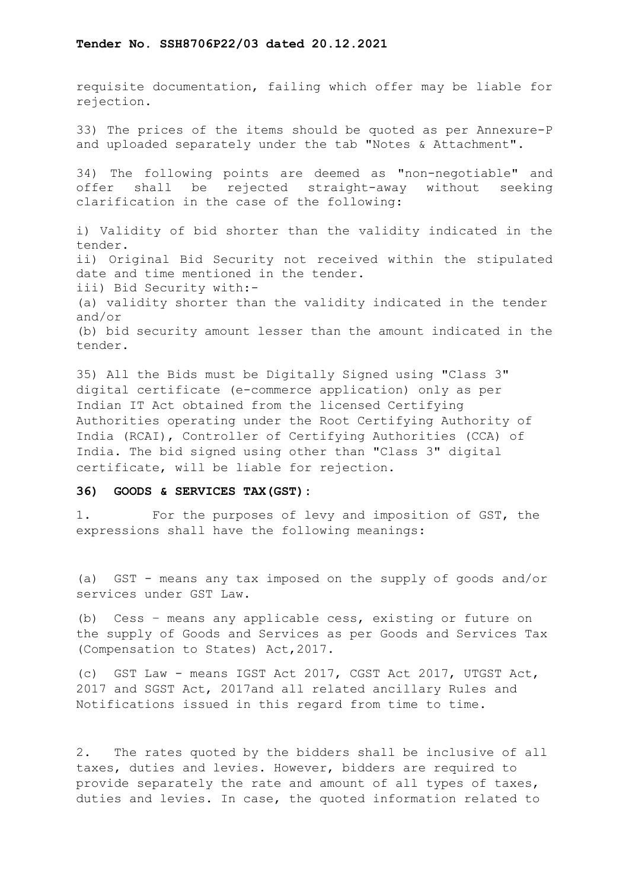requisite documentation, failing which offer may be liable for rejection.

33) The prices of the items should be quoted as per Annexure-P and uploaded separately under the tab "Notes & Attachment".

34) The following points are deemed as "non-negotiable" and offer shall be rejected straight-away without seeking clarification in the case of the following:

i) Validity of bid shorter than the validity indicated in the tender. ii) Original Bid Security not received within the stipulated date and time mentioned in the tender. iii) Bid Security with:- (a) validity shorter than the validity indicated in the tender and/or (b) bid security amount lesser than the amount indicated in the tender.

35) All the Bids must be Digitally Signed using "Class 3" digital certificate (e-commerce application) only as per Indian IT Act obtained from the licensed Certifying Authorities operating under the Root Certifying Authority of India (RCAI), Controller of Certifying Authorities (CCA) of India. The bid signed using other than "Class 3" digital certificate, will be liable for rejection.

#### **36) GOODS & SERVICES TAX(GST):**

1. For the purposes of levy and imposition of GST, the expressions shall have the following meanings:

(a) GST - means any tax imposed on the supply of goods and/or services under GST Law.

(b) Cess – means any applicable cess, existing or future on the supply of Goods and Services as per Goods and Services Tax (Compensation to States) Act,2017.

(c) GST Law - means IGST Act 2017, CGST Act 2017, UTGST Act, 2017 and SGST Act, 2017and all related ancillary Rules and Notifications issued in this regard from time to time.

2. The rates quoted by the bidders shall be inclusive of all taxes, duties and levies. However, bidders are required to provide separately the rate and amount of all types of taxes, duties and levies. In case, the quoted information related to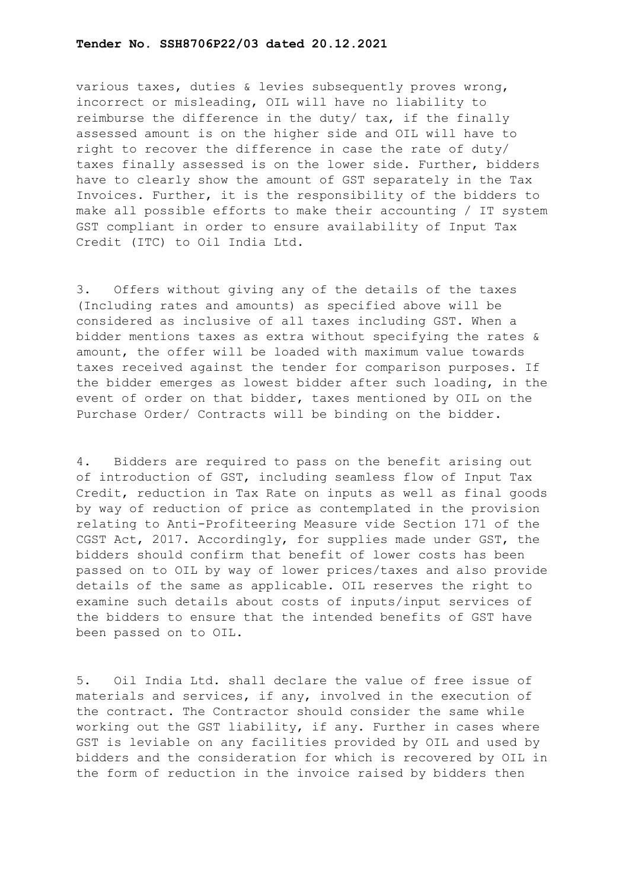various taxes, duties & levies subsequently proves wrong, incorrect or misleading, OIL will have no liability to reimburse the difference in the duty/ tax, if the finally assessed amount is on the higher side and OIL will have to right to recover the difference in case the rate of duty/ taxes finally assessed is on the lower side. Further, bidders have to clearly show the amount of GST separately in the Tax Invoices. Further, it is the responsibility of the bidders to make all possible efforts to make their accounting / IT system GST compliant in order to ensure availability of Input Tax Credit (ITC) to Oil India Ltd.

3. Offers without giving any of the details of the taxes (Including rates and amounts) as specified above will be considered as inclusive of all taxes including GST. When a bidder mentions taxes as extra without specifying the rates & amount, the offer will be loaded with maximum value towards taxes received against the tender for comparison purposes. If the bidder emerges as lowest bidder after such loading, in the event of order on that bidder, taxes mentioned by OIL on the Purchase Order/ Contracts will be binding on the bidder.

4. Bidders are required to pass on the benefit arising out of introduction of GST, including seamless flow of Input Tax Credit, reduction in Tax Rate on inputs as well as final goods by way of reduction of price as contemplated in the provision relating to Anti-Profiteering Measure vide Section 171 of the CGST Act, 2017. Accordingly, for supplies made under GST, the bidders should confirm that benefit of lower costs has been passed on to OIL by way of lower prices/taxes and also provide details of the same as applicable. OIL reserves the right to examine such details about costs of inputs/input services of the bidders to ensure that the intended benefits of GST have been passed on to OIL.

5. Oil India Ltd. shall declare the value of free issue of materials and services, if any, involved in the execution of the contract. The Contractor should consider the same while working out the GST liability, if any. Further in cases where GST is leviable on any facilities provided by OIL and used by bidders and the consideration for which is recovered by OIL in the form of reduction in the invoice raised by bidders then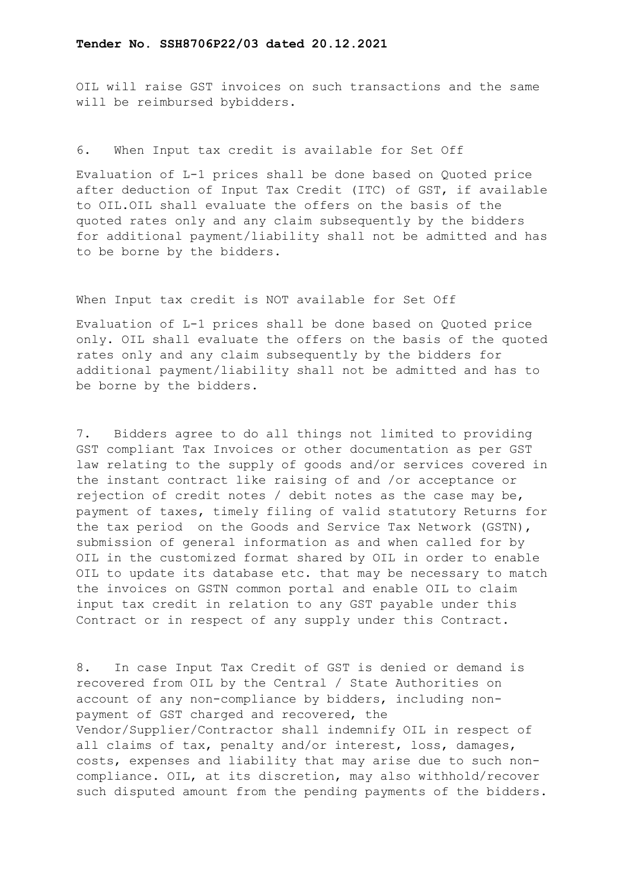OIL will raise GST invoices on such transactions and the same will be reimbursed bybidders.

# 6. When Input tax credit is available for Set Off

Evaluation of L-1 prices shall be done based on Quoted price after deduction of Input Tax Credit (ITC) of GST, if available to OIL.OIL shall evaluate the offers on the basis of the quoted rates only and any claim subsequently by the bidders for additional payment/liability shall not be admitted and has to be borne by the bidders.

### When Input tax credit is NOT available for Set Off

Evaluation of L-1 prices shall be done based on Quoted price only. OIL shall evaluate the offers on the basis of the quoted rates only and any claim subsequently by the bidders for additional payment/liability shall not be admitted and has to be borne by the bidders.

7. Bidders agree to do all things not limited to providing GST compliant Tax Invoices or other documentation as per GST law relating to the supply of goods and/or services covered in the instant contract like raising of and /or acceptance or rejection of credit notes / debit notes as the case may be, payment of taxes, timely filing of valid statutory Returns for the tax period on the Goods and Service Tax Network (GSTN), submission of general information as and when called for by OIL in the customized format shared by OIL in order to enable OIL to update its database etc. that may be necessary to match the invoices on GSTN common portal and enable OIL to claim input tax credit in relation to any GST payable under this Contract or in respect of any supply under this Contract.

8. In case Input Tax Credit of GST is denied or demand is recovered from OIL by the Central / State Authorities on account of any non-compliance by bidders, including nonpayment of GST charged and recovered, the Vendor/Supplier/Contractor shall indemnify OIL in respect of all claims of tax, penalty and/or interest, loss, damages, costs, expenses and liability that may arise due to such noncompliance. OIL, at its discretion, may also withhold/recover such disputed amount from the pending payments of the bidders.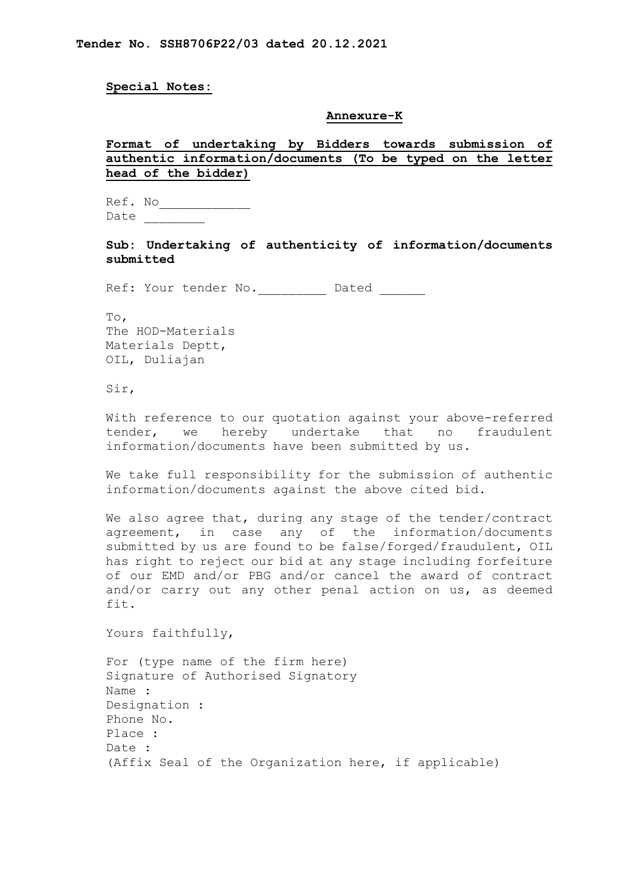**Special Notes:** 

#### **Annexure-K**

# **Format of undertaking by Bidders towards submission of authentic information/documents (To be typed on the letter head of the bidder)**

Ref. No\_\_\_\_\_\_\_\_\_\_\_\_ Date

**Sub: Undertaking of authenticity of information/documents submitted**

Ref: Your tender No. Dated

To, The HOD-Materials Materials Deptt, OIL, Duliajan

Sir,

With reference to our quotation against your above-referred tender, we hereby undertake that no fraudulent information/documents have been submitted by us.

We take full responsibility for the submission of authentic information/documents against the above cited bid.

We also agree that, during any stage of the tender/contract agreement, in case any of the information/documents submitted by us are found to be false/forged/fraudulent, OIL has right to reject our bid at any stage including forfeiture of our EMD and/or PBG and/or cancel the award of contract and/or carry out any other penal action on us, as deemed fit.

Yours faithfully,

For (type name of the firm here) Signature of Authorised Signatory Name : Designation : Phone No. Place : Date : (Affix Seal of the Organization here, if applicable)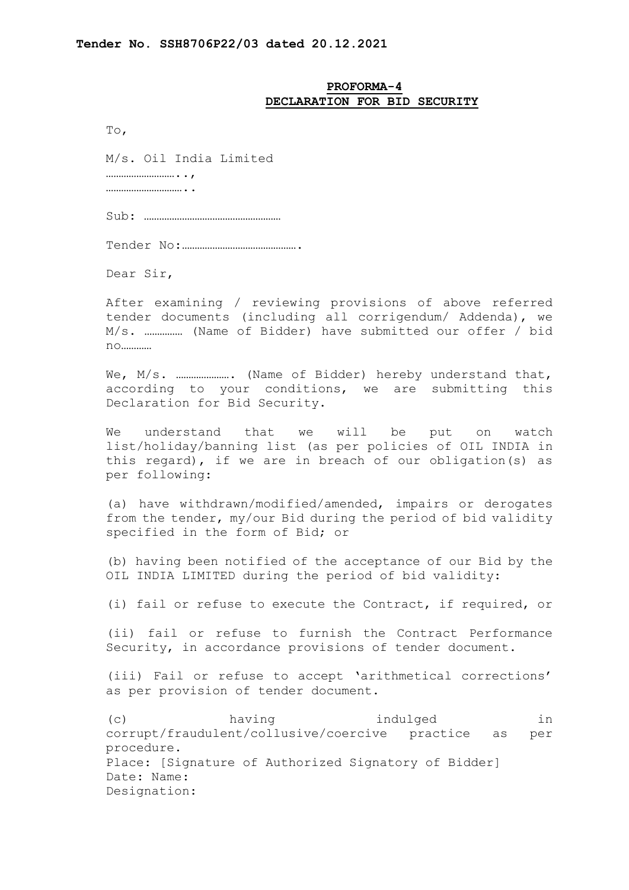## **PROFORMA-4 DECLARATION FOR BID SECURITY**

To,

M/s. Oil India Limited

………………………..,

…………………………..

Sub: ………………………………………………

Tender No:……………………………………….

Dear Sir,

After examining / reviewing provisions of above referred tender documents (including all corrigendum/ Addenda), we M/s. …………… (Name of Bidder) have submitted our offer / bid no…………

We, M/s. …………………. (Name of Bidder) hereby understand that, according to your conditions, we are submitting this Declaration for Bid Security.

We understand that we will be put on watch list/holiday/banning list (as per policies of OIL INDIA in this regard), if we are in breach of our obligation(s) as per following:

(a) have withdrawn/modified/amended, impairs or derogates from the tender, my/our Bid during the period of bid validity specified in the form of Bid; or

(b) having been notified of the acceptance of our Bid by the OIL INDIA LIMITED during the period of bid validity:

(i) fail or refuse to execute the Contract, if required, or

(ii) fail or refuse to furnish the Contract Performance Security, in accordance provisions of tender document.

(iii) Fail or refuse to accept 'arithmetical corrections' as per provision of tender document.

(c) having indulged in corrupt/fraudulent/collusive/coercive practice as per procedure. Place: [Signature of Authorized Signatory of Bidder] Date: Name: Designation: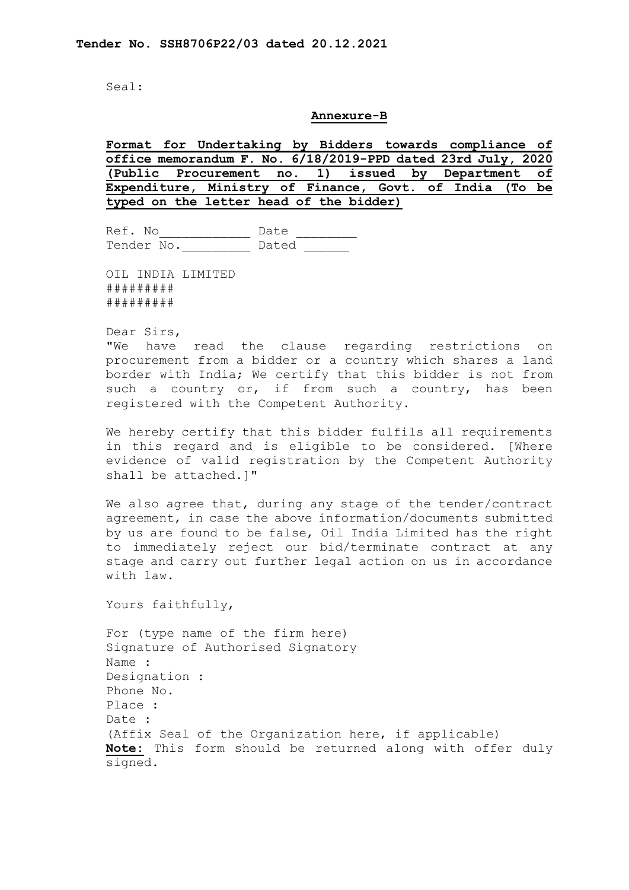Seal:

#### **Annexure-B**

**Format for Undertaking by Bidders towards compliance of office memorandum F. No. 6/18/2019-PPD dated 23rd July, 2020 (Public Procurement no. 1) issued by Department of Expenditure, Ministry of Finance, Govt. of India (To be typed on the letter head of the bidder)**

 $Ref. No$  Date Date Tender No. Dated

OIL INDIA LIMITED ######### #########

Dear Sirs,

"We have read the clause regarding restrictions on procurement from a bidder or a country which shares a land border with India; We certify that this bidder is not from such a country or, if from such a country, has been registered with the Competent Authority.

We hereby certify that this bidder fulfils all requirements in this regard and is eligible to be considered. [Where evidence of valid registration by the Competent Authority shall be attached.]"

We also agree that, during any stage of the tender/contract agreement, in case the above information/documents submitted by us are found to be false, Oil India Limited has the right to immediately reject our bid/terminate contract at any stage and carry out further legal action on us in accordance with law.

Yours faithfully,

For (type name of the firm here) Signature of Authorised Signatory Name : Designation : Phone No. Place : Date : (Affix Seal of the Organization here, if applicable) **Note:** This form should be returned along with offer duly signed.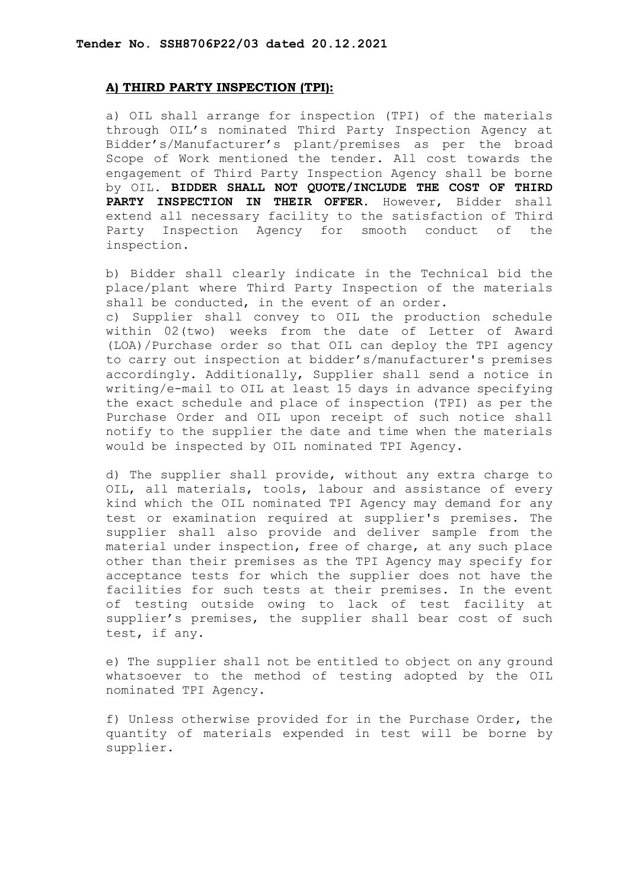# **A) THIRD PARTY INSPECTION (TPI):**

a) OIL shall arrange for inspection (TPI) of the materials through OIL's nominated Third Party Inspection Agency at Bidder's/Manufacturer's plant/premises as per the broad Scope of Work mentioned the tender. All cost towards the engagement of Third Party Inspection Agency shall be borne by OIL. **BIDDER SHALL NOT QUOTE/INCLUDE THE COST OF THIRD PARTY INSPECTION IN THEIR OFFER**. However, Bidder shall extend all necessary facility to the satisfaction of Third<br>Party Inspection Agency for smooth conduct of the Party Inspection Agency for smooth conduct of the inspection.

b) Bidder shall clearly indicate in the Technical bid the place/plant where Third Party Inspection of the materials shall be conducted, in the event of an order. c) Supplier shall convey to OIL the production schedule within 02(two) weeks from the date of Letter of Award (LOA)/Purchase order so that OIL can deploy the TPI agency to carry out inspection at bidder's/manufacturer's premises accordingly. Additionally, Supplier shall send a notice in writing/e-mail to OIL at least 15 days in advance specifying the exact schedule and place of inspection (TPI) as per the Purchase Order and OIL upon receipt of such notice shall notify to the supplier the date and time when the materials would be inspected by OIL nominated TPI Agency.

d) The supplier shall provide, without any extra charge to OIL, all materials, tools, labour and assistance of every kind which the OIL nominated TPI Agency may demand for any test or examination required at supplier's premises. The supplier shall also provide and deliver sample from the material under inspection, free of charge, at any such place other than their premises as the TPI Agency may specify for acceptance tests for which the supplier does not have the facilities for such tests at their premises. In the event of testing outside owing to lack of test facility at supplier's premises, the supplier shall bear cost of such test, if any.

e) The supplier shall not be entitled to object on any ground whatsoever to the method of testing adopted by the OIL nominated TPI Agency.

f) Unless otherwise provided for in the Purchase Order, the quantity of materials expended in test will be borne by supplier.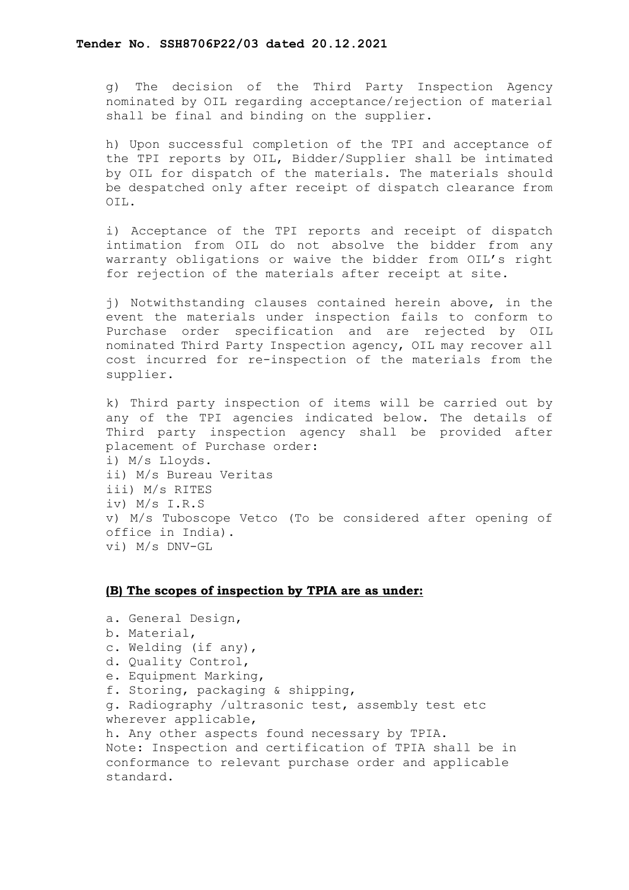g) The decision of the Third Party Inspection Agency nominated by OIL regarding acceptance/rejection of material shall be final and binding on the supplier.

h) Upon successful completion of the TPI and acceptance of the TPI reports by OIL, Bidder/Supplier shall be intimated by OIL for dispatch of the materials. The materials should be despatched only after receipt of dispatch clearance from OIL.

i) Acceptance of the TPI reports and receipt of dispatch intimation from OIL do not absolve the bidder from any warranty obligations or waive the bidder from OIL's right for rejection of the materials after receipt at site.

j) Notwithstanding clauses contained herein above, in the event the materials under inspection fails to conform to Purchase order specification and are rejected by OIL nominated Third Party Inspection agency, OIL may recover all cost incurred for re-inspection of the materials from the supplier.

k) Third party inspection of items will be carried out by any of the TPI agencies indicated below. The details of Third party inspection agency shall be provided after placement of Purchase order: i) M/s Lloyds. ii) M/s Bureau Veritas iii) M/s RITES iv) M/s I.R.S v) M/s Tuboscope Vetco (To be considered after opening of office in India). vi) M/s DNV-GL

# **(B) The scopes of inspection by TPIA are as under:**

a. General Design, b. Material, c. Welding (if any), d. Quality Control, e. Equipment Marking, f. Storing, packaging & shipping, g. Radiography /ultrasonic test, assembly test etc wherever applicable, h. Any other aspects found necessary by TPIA. Note: Inspection and certification of TPIA shall be in conformance to relevant purchase order and applicable standard.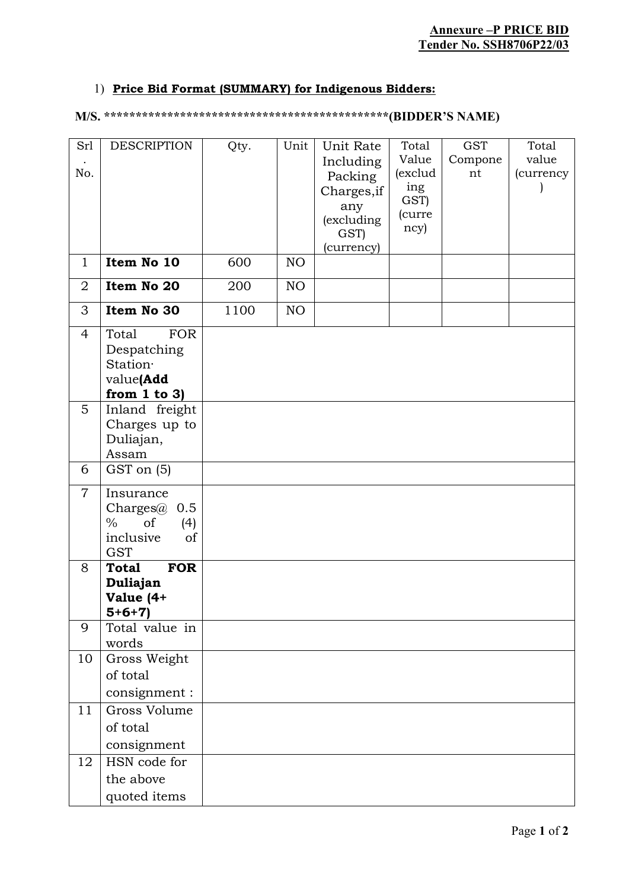# 1) **Price Bid Format (SUMMARY) for Indigenous Bidders:**

# **M/S. \*\*\*\*\*\*\*\*\*\*\*\*\*\*\*\*\*\*\*\*\*\*\*\*\*\*\*\*\*\*\*\*\*\*\*\*\*\*\*\*\*\*\*\*\*(BIDDER'S NAME)**

| Srl<br>No.     | <b>DESCRIPTION</b>                                                                          | Qty. | Unit | Unit Rate<br>Including<br>Packing<br>Charges, if<br>any<br>(excluding<br>GST)<br>(currency) | Total<br>Value<br>(exclud<br>ing<br>GST)<br>(curre<br>ncy) | <b>GST</b><br>Compone<br>nt | Total<br>value<br>(currency |
|----------------|---------------------------------------------------------------------------------------------|------|------|---------------------------------------------------------------------------------------------|------------------------------------------------------------|-----------------------------|-----------------------------|
| $\mathbf{1}$   | Item No 10                                                                                  | 600  | NO   |                                                                                             |                                                            |                             |                             |
| $\overline{2}$ | Item No 20                                                                                  | 200  | NO   |                                                                                             |                                                            |                             |                             |
| 3              | Item No 30                                                                                  | 1100 | NO   |                                                                                             |                                                            |                             |                             |
| $\overline{4}$ | <b>FOR</b><br>Total<br>Despatching<br>Station·<br>value(Add<br>from $1$ to $3$ )            |      |      |                                                                                             |                                                            |                             |                             |
| 5              | Inland freight<br>Charges up to<br>Duliajan,<br>Assam                                       |      |      |                                                                                             |                                                            |                             |                             |
| 6              | GST on (5)                                                                                  |      |      |                                                                                             |                                                            |                             |                             |
| $\overline{7}$ | Insurance<br>Charges $@$ 0.5<br>$\frac{0}{0}$<br>of<br>(4)<br>inclusive<br>of<br><b>GST</b> |      |      |                                                                                             |                                                            |                             |                             |
| 8              | <b>FOR</b><br><b>Total</b><br>Duliajan<br>Value (4+<br>$5+6+7)$                             |      |      |                                                                                             |                                                            |                             |                             |
| 9              | Total value in<br>words                                                                     |      |      |                                                                                             |                                                            |                             |                             |
| 10             | Gross Weight<br>of total<br>consignment :                                                   |      |      |                                                                                             |                                                            |                             |                             |
| 11             | Gross Volume<br>of total<br>consignment                                                     |      |      |                                                                                             |                                                            |                             |                             |
| 12             | HSN code for<br>the above<br>quoted items                                                   |      |      |                                                                                             |                                                            |                             |                             |